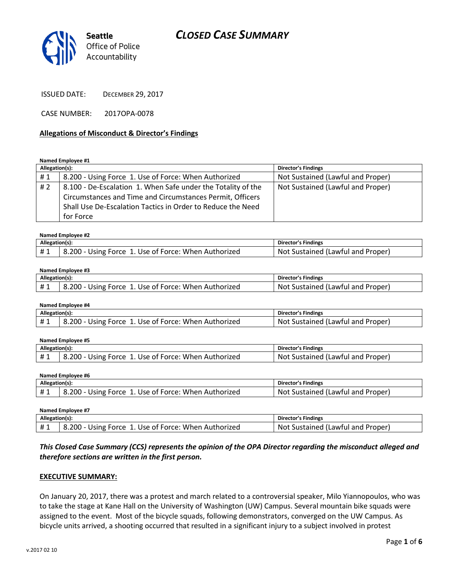

ISSUED DATE: DECEMBER 29, 2017

CASE NUMBER: 2017OPA-0078

### **Allegations of Misconduct & Director's Findings**

#### **Named Employee #1**

| Allegation(s): |                                                              | <b>Director's Findings</b>        |
|----------------|--------------------------------------------------------------|-----------------------------------|
| #1             | 8.200 - Using Force 1. Use of Force: When Authorized         | Not Sustained (Lawful and Proper) |
| #2             | 8.100 - De-Escalation 1. When Safe under the Totality of the | Not Sustained (Lawful and Proper) |
|                | Circumstances and Time and Circumstances Permit, Officers    |                                   |
|                | Shall Use De-Escalation Tactics in Order to Reduce the Need  |                                   |
|                | for Force                                                    |                                   |

#### **Named Employee #2**

| Allegation(s): |                                                      | Director's Findings               |
|----------------|------------------------------------------------------|-----------------------------------|
| #1             | 8.200 - Using Force 1. Use of Force: When Authorized | Not Sustained (Lawful and Proper) |

#### **Named Employee #3**

| Allegation(s): |                                                                 | Director's Findings                     |
|----------------|-----------------------------------------------------------------|-----------------------------------------|
|                | $3.200 - Using F$<br>Use of Force: When Authorized ___<br>Force | Proper<br>Not.<br>Sustained (Lawful and |

| Named Employee #4 |                                                      |                                   |
|-------------------|------------------------------------------------------|-----------------------------------|
| Allegation(s):    |                                                      | Director's Findings               |
|                   | 8.200 - Using Force 1. Use of Force: When Authorized | Not Sustained (Lawful and Proper) |

| Named Emplovee #5 |                                                      |                                   |
|-------------------|------------------------------------------------------|-----------------------------------|
| Allegation(s):    |                                                      | Director's Findings               |
| #1                | 8.200 - Using Force 1. Use of Force: When Authorized | Not Sustained (Lawful and Proper) |

**Named Employee #6**

| Allegation(s): |                                                      | Director's Findings               |
|----------------|------------------------------------------------------|-----------------------------------|
|                | 8.200 - Using Force 1. Use of Force: When Authorized | Not Sustained (Lawful and Proper) |

| Named Employee #7                     |                                                      |                                   |
|---------------------------------------|------------------------------------------------------|-----------------------------------|
| Allegation(s):<br>Director's Findings |                                                      |                                   |
| #1                                    | 8.200 - Using Force 1. Use of Force: When Authorized | Not Sustained (Lawful and Proper) |

*This Closed Case Summary (CCS) represents the opinion of the OPA Director regarding the misconduct alleged and therefore sections are written in the first person.* 

### **EXECUTIVE SUMMARY:**

On January 20, 2017, there was a protest and march related to a controversial speaker, Milo Yiannopoulos, who was to take the stage at Kane Hall on the University of Washington (UW) Campus. Several mountain bike squads were assigned to the event. Most of the bicycle squads, following demonstrators, converged on the UW Campus. As bicycle units arrived, a shooting occurred that resulted in a significant injury to a subject involved in protest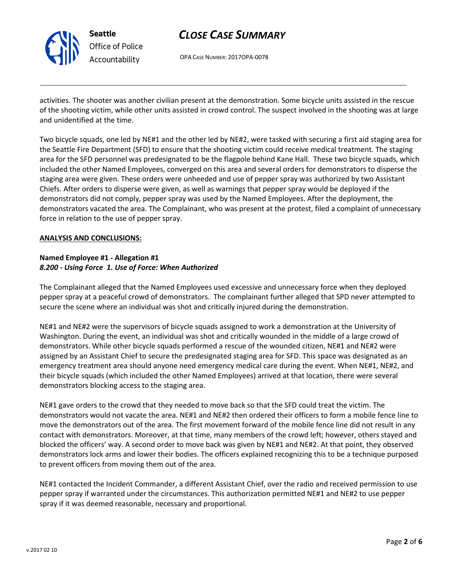

OPA CASE NUMBER: 2017OPA-0078

activities. The shooter was another civilian present at the demonstration. Some bicycle units assisted in the rescue of the shooting victim, while other units assisted in crowd control. The suspect involved in the shooting was at large and unidentified at the time.

Two bicycle squads, one led by NE#1 and the other led by NE#2, were tasked with securing a first aid staging area for the Seattle Fire Department (SFD) to ensure that the shooting victim could receive medical treatment. The staging area for the SFD personnel was predesignated to be the flagpole behind Kane Hall. These two bicycle squads, which included the other Named Employees, converged on this area and several orders for demonstrators to disperse the staging area were given. These orders were unheeded and use of pepper spray was authorized by two Assistant Chiefs. After orders to disperse were given, as well as warnings that pepper spray would be deployed if the demonstrators did not comply, pepper spray was used by the Named Employees. After the deployment, the demonstrators vacated the area. The Complainant, who was present at the protest, filed a complaint of unnecessary force in relation to the use of pepper spray.

### **ANALYSIS AND CONCLUSIONS:**

## **Named Employee #1 - Allegation #1** *8.200 - Using Force 1. Use of Force: When Authorized*

The Complainant alleged that the Named Employees used excessive and unnecessary force when they deployed pepper spray at a peaceful crowd of demonstrators. The complainant further alleged that SPD never attempted to secure the scene where an individual was shot and critically injured during the demonstration.

NE#1 and NE#2 were the supervisors of bicycle squads assigned to work a demonstration at the University of Washington. During the event, an individual was shot and critically wounded in the middle of a large crowd of demonstrators. While other bicycle squads performed a rescue of the wounded citizen, NE#1 and NE#2 were assigned by an Assistant Chief to secure the predesignated staging area for SFD. This space was designated as an emergency treatment area should anyone need emergency medical care during the event. When NE#1, NE#2, and their bicycle squads (which included the other Named Employees) arrived at that location, there were several demonstrators blocking access to the staging area.

NE#1 gave orders to the crowd that they needed to move back so that the SFD could treat the victim. The demonstrators would not vacate the area. NE#1 and NE#2 then ordered their officers to form a mobile fence line to move the demonstrators out of the area. The first movement forward of the mobile fence line did not result in any contact with demonstrators. Moreover, at that time, many members of the crowd left; however, others stayed and blocked the officers' way. A second order to move back was given by NE#1 and NE#2. At that point, they observed demonstrators lock arms and lower their bodies. The officers explained recognizing this to be a technique purposed to prevent officers from moving them out of the area.

NE#1 contacted the Incident Commander, a different Assistant Chief, over the radio and received permission to use pepper spray if warranted under the circumstances. This authorization permitted NE#1 and NE#2 to use pepper spray if it was deemed reasonable, necessary and proportional.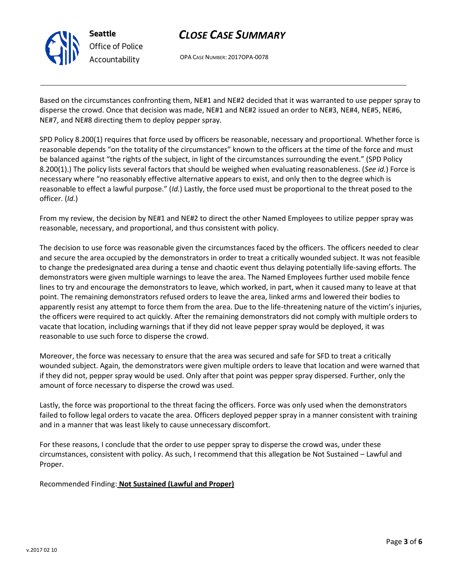

OPA CASE NUMBER: 2017OPA-0078

Based on the circumstances confronting them, NE#1 and NE#2 decided that it was warranted to use pepper spray to disperse the crowd. Once that decision was made, NE#1 and NE#2 issued an order to NE#3, NE#4, NE#5, NE#6, NE#7, and NE#8 directing them to deploy pepper spray.

SPD Policy 8.200(1) requires that force used by officers be reasonable, necessary and proportional. Whether force is reasonable depends "on the totality of the circumstances" known to the officers at the time of the force and must be balanced against "the rights of the subject, in light of the circumstances surrounding the event." (SPD Policy 8.200(1).) The policy lists several factors that should be weighed when evaluating reasonableness. (*See id.*) Force is necessary where "no reasonably effective alternative appears to exist, and only then to the degree which is reasonable to effect a lawful purpose." (*Id.*) Lastly, the force used must be proportional to the threat posed to the officer. (*Id.*)

From my review, the decision by NE#1 and NE#2 to direct the other Named Employees to utilize pepper spray was reasonable, necessary, and proportional, and thus consistent with policy.

The decision to use force was reasonable given the circumstances faced by the officers. The officers needed to clear and secure the area occupied by the demonstrators in order to treat a critically wounded subject. It was not feasible to change the predesignated area during a tense and chaotic event thus delaying potentially life-saving efforts. The demonstrators were given multiple warnings to leave the area. The Named Employees further used mobile fence lines to try and encourage the demonstrators to leave, which worked, in part, when it caused many to leave at that point. The remaining demonstrators refused orders to leave the area, linked arms and lowered their bodies to apparently resist any attempt to force them from the area. Due to the life-threatening nature of the victim's injuries, the officers were required to act quickly. After the remaining demonstrators did not comply with multiple orders to vacate that location, including warnings that if they did not leave pepper spray would be deployed, it was reasonable to use such force to disperse the crowd.

Moreover, the force was necessary to ensure that the area was secured and safe for SFD to treat a critically wounded subject. Again, the demonstrators were given multiple orders to leave that location and were warned that if they did not, pepper spray would be used. Only after that point was pepper spray dispersed. Further, only the amount of force necessary to disperse the crowd was used.

Lastly, the force was proportional to the threat facing the officers. Force was only used when the demonstrators failed to follow legal orders to vacate the area. Officers deployed pepper spray in a manner consistent with training and in a manner that was least likely to cause unnecessary discomfort.

For these reasons, I conclude that the order to use pepper spray to disperse the crowd was, under these circumstances, consistent with policy. As such, I recommend that this allegation be Not Sustained – Lawful and Proper.

Recommended Finding: **Not Sustained (Lawful and Proper)**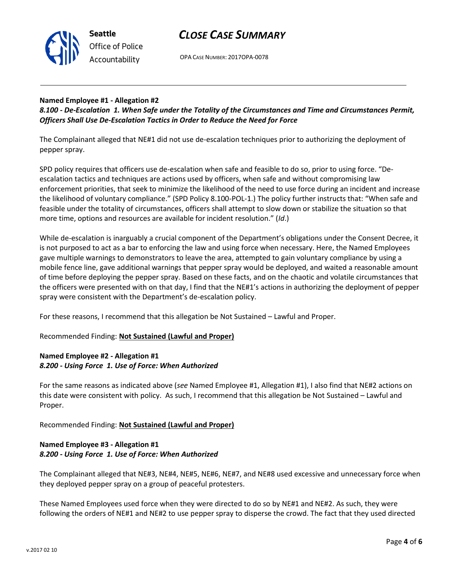



OPA CASE NUMBER: 2017OPA-0078

# **Named Employee #1 - Allegation #2**

*8.100 - De-Escalation 1. When Safe under the Totality of the Circumstances and Time and Circumstances Permit, Officers Shall Use De-Escalation Tactics in Order to Reduce the Need for Force*

The Complainant alleged that NE#1 did not use de-escalation techniques prior to authorizing the deployment of pepper spray.

SPD policy requires that officers use de-escalation when safe and feasible to do so, prior to using force. "Deescalation tactics and techniques are actions used by officers, when safe and without compromising law enforcement priorities, that seek to minimize the likelihood of the need to use force during an incident and increase the likelihood of voluntary compliance." (SPD Policy 8.100-POL-1.) The policy further instructs that: "When safe and feasible under the totality of circumstances, officers shall attempt to slow down or stabilize the situation so that more time, options and resources are available for incident resolution." (*Id*.)

While de-escalation is inarguably a crucial component of the Department's obligations under the Consent Decree, it is not purposed to act as a bar to enforcing the law and using force when necessary. Here, the Named Employees gave multiple warnings to demonstrators to leave the area, attempted to gain voluntary compliance by using a mobile fence line, gave additional warnings that pepper spray would be deployed, and waited a reasonable amount of time before deploying the pepper spray. Based on these facts, and on the chaotic and volatile circumstances that the officers were presented with on that day, I find that the NE#1's actions in authorizing the deployment of pepper spray were consistent with the Department's de-escalation policy.

For these reasons, I recommend that this allegation be Not Sustained – Lawful and Proper.

Recommended Finding: **Not Sustained (Lawful and Proper)**

## **Named Employee #2 - Allegation #1** *8.200 - Using Force 1. Use of Force: When Authorized*

For the same reasons as indicated above (*see* Named Employee #1, Allegation #1), I also find that NE#2 actions on this date were consistent with policy. As such, I recommend that this allegation be Not Sustained – Lawful and Proper.

Recommended Finding: **Not Sustained (Lawful and Proper)**

# **Named Employee #3 - Allegation #1** *8.200 - Using Force 1. Use of Force: When Authorized*

The Complainant alleged that NE#3, NE#4, NE#5, NE#6, NE#7, and NE#8 used excessive and unnecessary force when they deployed pepper spray on a group of peaceful protesters.

These Named Employees used force when they were directed to do so by NE#1 and NE#2. As such, they were following the orders of NE#1 and NE#2 to use pepper spray to disperse the crowd. The fact that they used directed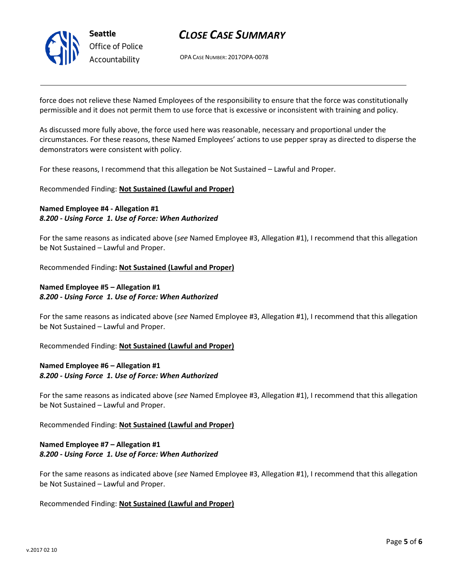

OPA CASE NUMBER: 2017OPA-0078

force does not relieve these Named Employees of the responsibility to ensure that the force was constitutionally permissible and it does not permit them to use force that is excessive or inconsistent with training and policy.

As discussed more fully above, the force used here was reasonable, necessary and proportional under the circumstances. For these reasons, these Named Employees' actions to use pepper spray as directed to disperse the demonstrators were consistent with policy.

For these reasons, I recommend that this allegation be Not Sustained – Lawful and Proper.

Recommended Finding: **Not Sustained (Lawful and Proper)**

## **Named Employee #4 - Allegation #1** *8.200 - Using Force 1. Use of Force: When Authorized*

For the same reasons as indicated above (*see* Named Employee #3, Allegation #1), I recommend that this allegation be Not Sustained – Lawful and Proper.

Recommended Finding**: Not Sustained (Lawful and Proper)**

## **Named Employee #5 – Allegation #1** *8.200 - Using Force 1. Use of Force: When Authorized*

For the same reasons as indicated above (*see* Named Employee #3, Allegation #1), I recommend that this allegation be Not Sustained – Lawful and Proper.

Recommended Finding: **Not Sustained (Lawful and Proper)**

## **Named Employee #6 – Allegation #1** *8.200 - Using Force 1. Use of Force: When Authorized*

For the same reasons as indicated above (*see* Named Employee #3, Allegation #1), I recommend that this allegation be Not Sustained – Lawful and Proper.

Recommended Finding: **Not Sustained (Lawful and Proper)**

## **Named Employee #7 – Allegation #1** *8.200 - Using Force 1. Use of Force: When Authorized*

For the same reasons as indicated above (*see* Named Employee #3, Allegation #1), I recommend that this allegation be Not Sustained – Lawful and Proper.

Recommended Finding: **Not Sustained (Lawful and Proper)**